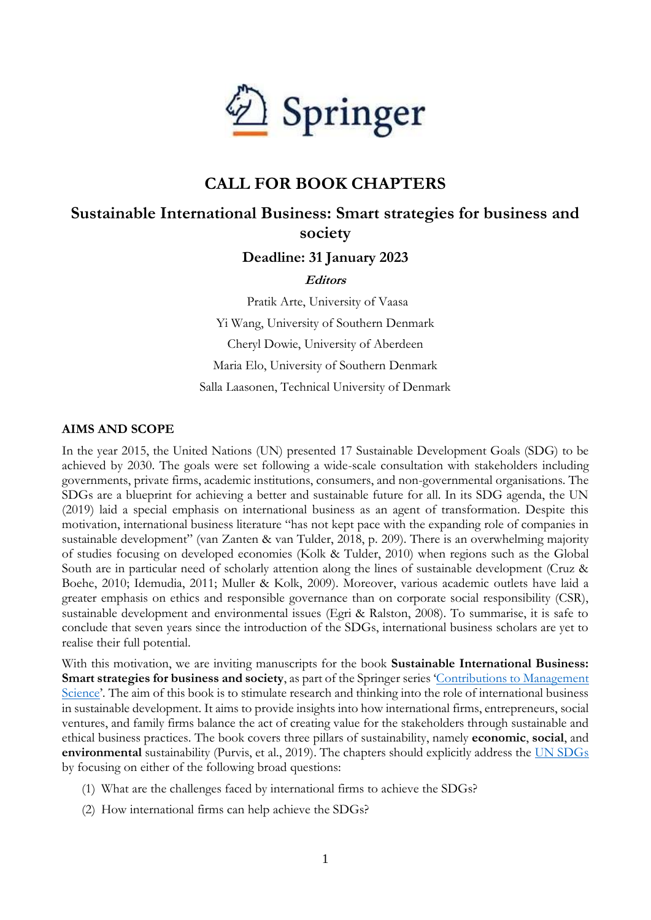

# **CALL FOR BOOK CHAPTERS**

## **Sustainable International Business: Smart strategies for business and society**

## **Deadline: 31 January 2023**

#### **Editors**

Pratik Arte, University of Vaasa Yi Wang, University of Southern Denmark Cheryl Dowie, University of Aberdeen Maria Elo, University of Southern Denmark Salla Laasonen, Technical University of Denmark

### **AIMS AND SCOPE**

In the year 2015, the United Nations (UN) presented 17 Sustainable Development Goals (SDG) to be achieved by 2030. The goals were set following a wide-scale consultation with stakeholders including governments, private firms, academic institutions, consumers, and non-governmental organisations. The SDGs are a blueprint for achieving a better and sustainable future for all. In its SDG agenda, the UN (2019) laid a special emphasis on international business as an agent of transformation. Despite this motivation, international business literature "has not kept pace with the expanding role of companies in sustainable development" (van Zanten & van Tulder, 2018, p. 209). There is an overwhelming majority of studies focusing on developed economies (Kolk & Tulder, 2010) when regions such as the Global South are in particular need of scholarly attention along the lines of sustainable development (Cruz & Boehe, 2010; Idemudia, 2011; Muller & Kolk, 2009). Moreover, various academic outlets have laid a greater emphasis on ethics and responsible governance than on corporate social responsibility (CSR), sustainable development and environmental issues (Egri & Ralston, 2008). To summarise, it is safe to conclude that seven years since the introduction of the SDGs, international business scholars are yet to realise their full potential.

With this motivation, we are inviting manuscripts for the book **Sustainable International Business: Smart strategies for business and society**, as part of the Springer series '[Contributions to Management](https://www.springer.com/series/1505)  [Science](https://www.springer.com/series/1505)'*.* The aim of this book is to stimulate research and thinking into the role of international business in sustainable development. It aims to provide insights into how international firms, entrepreneurs, social ventures, and family firms balance the act of creating value for the stakeholders through sustainable and ethical business practices. The book covers three pillars of sustainability, namely **economic**, **social**, and **environmental** sustainability (Purvis, et al., 2019). The chapters should explicitly address the [UN SDGs](https://sdgs.un.org/goals) by focusing on either of the following broad questions:

- (1) What are the challenges faced by international firms to achieve the SDGs?
- (2) How international firms can help achieve the SDGs?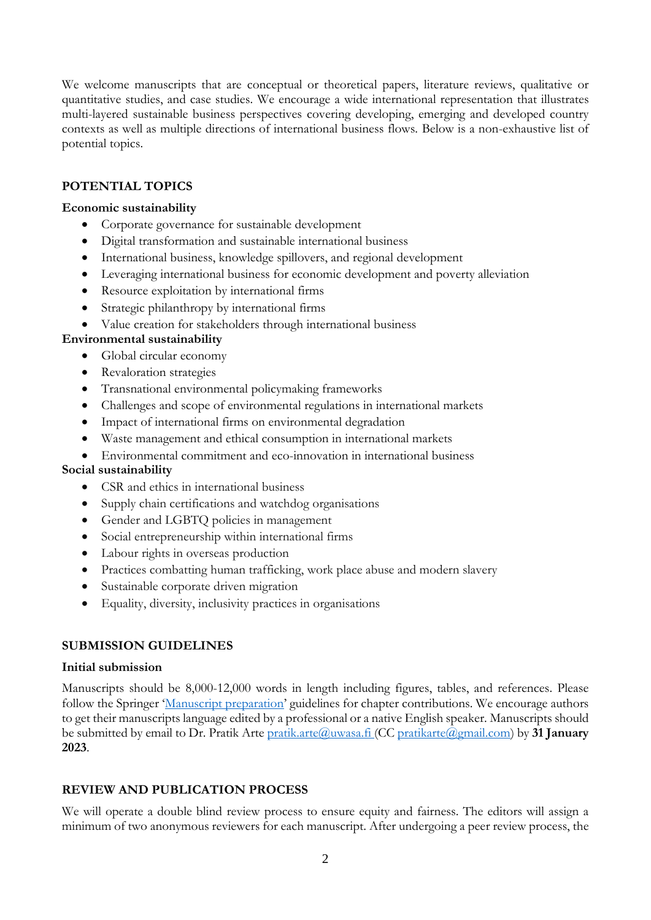We welcome manuscripts that are conceptual or theoretical papers, literature reviews, qualitative or quantitative studies, and case studies. We encourage a wide international representation that illustrates multi-layered sustainable business perspectives covering developing, emerging and developed country contexts as well as multiple directions of international business flows. Below is a non-exhaustive list of potential topics.

## **POTENTIAL TOPICS**

### **Economic sustainability**

- Corporate governance for sustainable development
- Digital transformation and sustainable international business
- International business, knowledge spillovers, and regional development
- Leveraging international business for economic development and poverty alleviation
- Resource exploitation by international firms
- Strategic philanthropy by international firms
- Value creation for stakeholders through international business

#### **Environmental sustainability**

- Global circular economy
- Revaloration strategies
- Transnational environmental policymaking frameworks
- Challenges and scope of environmental regulations in international markets
- Impact of international firms on environmental degradation
- Waste management and ethical consumption in international markets
- Environmental commitment and eco-innovation in international business

#### **Social sustainability**

- CSR and ethics in international business
- Supply chain certifications and watchdog organisations
- Gender and LGBTQ policies in management
- Social entrepreneurship within international firms
- Labour rights in overseas production
- Practices combatting human trafficking, work place abuse and modern slavery
- Sustainable corporate driven migration
- Equality, diversity, inclusivity practices in organisations

## **SUBMISSION GUIDELINES**

#### **Initial submission**

Manuscripts should be 8,000-12,000 words in length including figures, tables, and references. Please follow the Springer '[Manuscript preparation](https://www.springer.com/gp/authors-editors/book-authors-editors/your-publication-journey/manuscript-preparation)' guidelines for chapter contributions. We encourage authors to get their manuscripts language edited by a professional or a native English speaker. Manuscripts should be submitted by email to Dr. Pratik Arte [pratik.arte@uwasa.fi](mailto:pratik.arte@uwasa.fi) (CC [pratikarte@gmail.com\)](mailto:pratikarte@gmail.com) by **31 January 2023**.

## **REVIEW AND PUBLICATION PROCESS**

We will operate a double blind review process to ensure equity and fairness. The editors will assign a minimum of two anonymous reviewers for each manuscript. After undergoing a peer review process, the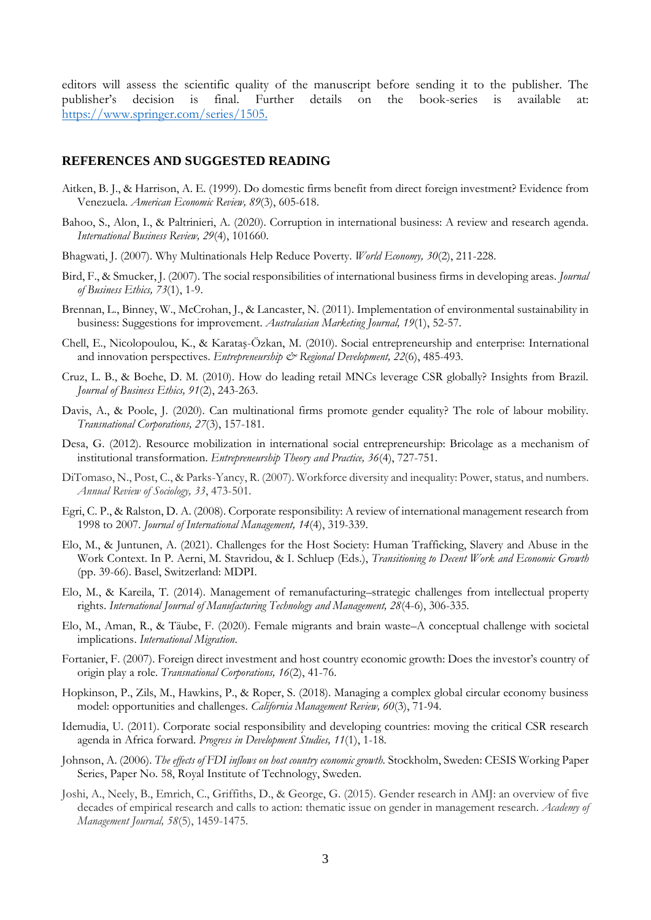editors will assess the scientific quality of the manuscript before sending it to the publisher. The publisher's decision is final. Further details on the book-series is available at: [https://www.springer.com/series/1505.](https://www.springer.com/series/1505)

#### **REFERENCES AND SUGGESTED READING**

- Aitken, B. J., & Harrison, A. E. (1999). Do domestic firms benefit from direct foreign investment? Evidence from Venezuela. *American Economic Review, 89*(3), 605-618.
- Bahoo, S., Alon, I., & Paltrinieri, A. (2020). Corruption in international business: A review and research agenda. *International Business Review, 29*(4), 101660.
- Bhagwati, J. (2007). Why Multinationals Help Reduce Poverty. *World Economy, 30*(2), 211-228.
- Bird, F., & Smucker, J. (2007). The social responsibilities of international business firms in developing areas. *Journal of Business Ethics, 73*(1), 1-9.
- Brennan, L., Binney, W., McCrohan, J., & Lancaster, N. (2011). Implementation of environmental sustainability in business: Suggestions for improvement. *Australasian Marketing Journal, 19*(1), 52-57.
- Chell, E., Nicolopoulou, K., & Karataş-Özkan, M. (2010). Social entrepreneurship and enterprise: International and innovation perspectives. *Entrepreneurship*  $\mathcal{Q}$  Regional Development, 22(6), 485-493.
- Cruz, L. B., & Boehe, D. M. (2010). How do leading retail MNCs leverage CSR globally? Insights from Brazil. *Journal of Business Ethics, 91*(2), 243-263.
- Davis, A., & Poole, J. (2020). Can multinational firms promote gender equality? The role of labour mobility. *Transnational Corporations, 27*(3), 157-181.
- Desa, G. (2012). Resource mobilization in international social entrepreneurship: Bricolage as a mechanism of institutional transformation. *Entrepreneurship Theory and Practice, 36*(4), 727-751.
- DiTomaso, N., Post, C., & Parks-Yancy, R. (2007). Workforce diversity and inequality: Power, status, and numbers. *Annual Review of Sociology, 33*, 473-501.
- Egri, C. P., & Ralston, D. A. (2008). Corporate responsibility: A review of international management research from 1998 to 2007. *Journal of International Management, 14*(4), 319-339.
- Elo, M., & Juntunen, A. (2021). Challenges for the Host Society: Human Trafficking, Slavery and Abuse in the Work Context. In P. Aerni, M. Stavridou, & I. Schluep (Eds.), *Transitioning to Decent Work and Economic Growth* (pp. 39-66). Basel, Switzerland: MDPI.
- Elo, M., & Kareila, T. (2014). Management of remanufacturing–strategic challenges from intellectual property rights. *International Journal of Manufacturing Technology and Management, 28*(4-6), 306-335.
- Elo, M., Aman, R., & Täube, F. (2020). Female migrants and brain waste–A conceptual challenge with societal implications. *International Migration*.
- Fortanier, F. (2007). Foreign direct investment and host country economic growth: Does the investor's country of origin play a role. *Transnational Corporations, 16*(2), 41-76.
- Hopkinson, P., Zils, M., Hawkins, P., & Roper, S. (2018). Managing a complex global circular economy business model: opportunities and challenges. *California Management Review, 60*(3), 71-94.
- Idemudia, U. (2011). Corporate social responsibility and developing countries: moving the critical CSR research agenda in Africa forward. *Progress in Development Studies, 11*(1), 1-18.
- Johnson, A. (2006). *The effects of FDI inflows on host country economic growth.* Stockholm, Sweden: CESIS Working Paper Series, Paper No. 58, Royal Institute of Technology, Sweden.
- Joshi, A., Neely, B., Emrich, C., Griffiths, D., & George, G. (2015). Gender research in AMJ: an overview of five decades of empirical research and calls to action: thematic issue on gender in management research. *Academy of Management Journal, 58*(5), 1459-1475.